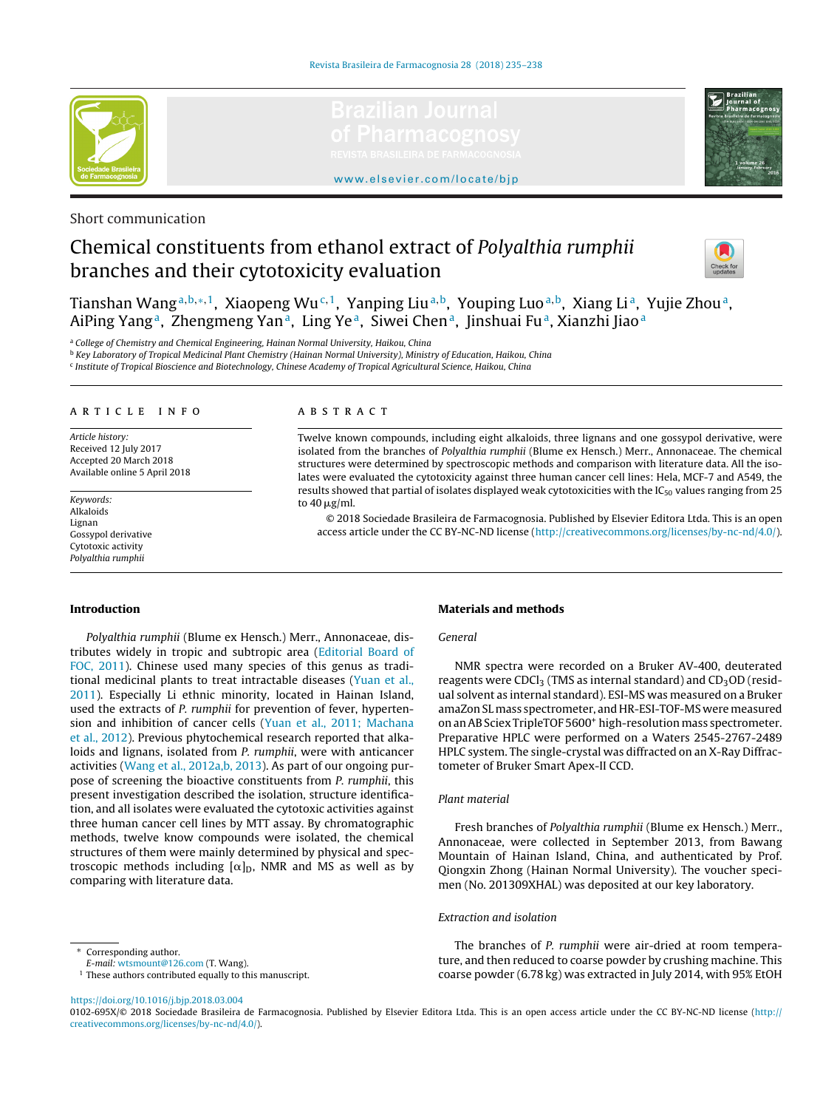



<www.elsevier.com/locate/bjp>

# Short communication

# Chemical constituents from ethanol extract of Polyalthia rumphii branches and their cytotoxicity evaluation



Tianshan Wang<sup>a,b,∗,1</sup>, Xiaopeng Wu<sup>c,1</sup>, Yanping Liu<sup>a,b</sup>, Youping Luo<sup>a,b</sup>, Xiang Li<sup>a</sup>, Yujie Zhou<sup>a</sup>, AiPing Yang<sup>a</sup>, Zhengmeng Yan<sup>a</sup>, Ling Ye<sup>a</sup>, Siwei Chen<sup>a</sup>, Jinshuai Fu<sup>a</sup>, Xianzhi Jiao<sup>a</sup>

<sup>a</sup> College of Chemistry and Chemical Engineering, Hainan Normal University, Haikou, China

<sup>b</sup> Key Laboratory of Tropical Medicinal Plant Chemistry (Hainan Normal University), Ministry of Education, Haikou, China

<sup>c</sup> Institute of Tropical Bioscience and Biotechnology, Chinese Academy of Tropical Agricultural Science, Haikou, China

# a r t i c l e i n f o

Article history: Received 12 July 2017 Accepted 20 March 2018 Available online 5 April 2018

Keywords: Alkaloids Lignan Gossypol derivative Cytotoxic activity Polyalthia rumphii

#### A B S T R A C T

Twelve known compounds, including eight alkaloids, three lignans and one gossypol derivative, were isolated from the branches of Polyalthia rumphii (Blume ex Hensch.) Merr., Annonaceae. The chemical structures were determined by spectroscopic methods and comparison with literature data. All the isolates were evaluated the cytotoxicity against three human cancer cell lines: Hela, MCF-7 and A549, the results showed that partial of isolates displayed weak cytotoxicities with the IC<sub>50</sub> values ranging from 25 to 40 µg/ml.

© 2018 Sociedade Brasileira de Farmacognosia. Published by Elsevier Editora Ltda. This is an open access article under the CC BY-NC-ND license [\(http://creativecommons.org/licenses/by-nc-nd/4.0/](http://creativecommons.org/licenses/by-nc-nd/4.0/)).

## **Introduction**

Polyalthia rumphii (Blume ex Hensch.) Merr., Annonaceae, distributes widely in tropic and subtropic area [\(Editorial](#page-3-0) [Board](#page-3-0) [of](#page-3-0) [FOC,](#page-3-0) [2011\).](#page-3-0) Chinese used many species of this genus as traditional medicinal plants to treat intractable diseases [\(Yuan](#page-3-0) et [al.,](#page-3-0) [2011\).](#page-3-0) Especially Li ethnic minority, located in Hainan Island, used the extracts of P. rumphii for prevention of fever, hypertension and inhibition of cancer cells [\(Yuan](#page-3-0) et [al.,](#page-3-0) [2011;](#page-3-0) [Machana](#page-3-0) et [al.,](#page-3-0) [2012\).](#page-3-0) Previous phytochemical research reported that alkaloids and lignans, isolated from P. rumphii, were with anticancer activities [\(Wang](#page-3-0) et [al.,](#page-3-0) [2012a,b,](#page-3-0) [2013\).](#page-3-0) As part of our ongoing purpose of screening the bioactive constituents from P. rumphii, this present investigation described the isolation, structure identification, and all isolates were evaluated the cytotoxic activities against three human cancer cell lines by MTT assay. By chromatographic methods, twelve know compounds were isolated, the chemical structures of them were mainly determined by physical and spectroscopic methods including  $[\alpha]_D$ , NMR and MS as well as by comparing with literature data.

# **Materials and methods**

# General

NMR spectra were recorded on a Bruker AV-400, deuterated reagents were  $CDCl<sub>3</sub>$  (TMS as internal standard) and  $CD<sub>3</sub>OD$  (residual solvent as internal standard). ESI-MS was measured on a Bruker amaZon SLmass spectrometer, and HR-ESI-TOF-MS weremeasured on anAB Sciex TripleTOF 5600+ high-resolution mass spectrometer. Preparative HPLC were performed on a Waters 2545-2767-2489 HPLC system. The single-crystal was diffracted on an X-Ray Diffractometer of Bruker Smart Apex-II CCD.

#### Plant material

Fresh branches of Polyalthia rumphii (Blume ex Hensch.) Merr., Annonaceae, were collected in September 2013, from Bawang Mountain of Hainan Island, China, and authenticated by Prof. Qiongxin Zhong (Hainan Normal University). The voucher specimen (No. 201309XHAL) was deposited at our key laboratory.

#### Extraction and isolation

The branches of P. rumphii were air-dried at room temperature, and then reduced to coarse powder by crushing machine. This coarse powder (6.78 kg) was extracted in July 2014, with 95% EtOH

#### ∗ Corresponding author.

E-mail: [wtsmount@126.com](mailto:wtsmount@126.com) (T. Wang).

<https://doi.org/10.1016/j.bjp.2018.03.004>

0102-695X/© 2018 Sociedade Brasileira de Farmacognosia. Published by Elsevier Editora Ltda. This is an open access article under the CC BY-NC-ND license ([http://](http://creativecommons.org/licenses/by-nc-nd/4.0/) [creativecommons.org/licenses/by-nc-nd/4.0/](http://creativecommons.org/licenses/by-nc-nd/4.0/)).

<sup>&</sup>lt;sup>1</sup> These authors contributed equally to this manuscript.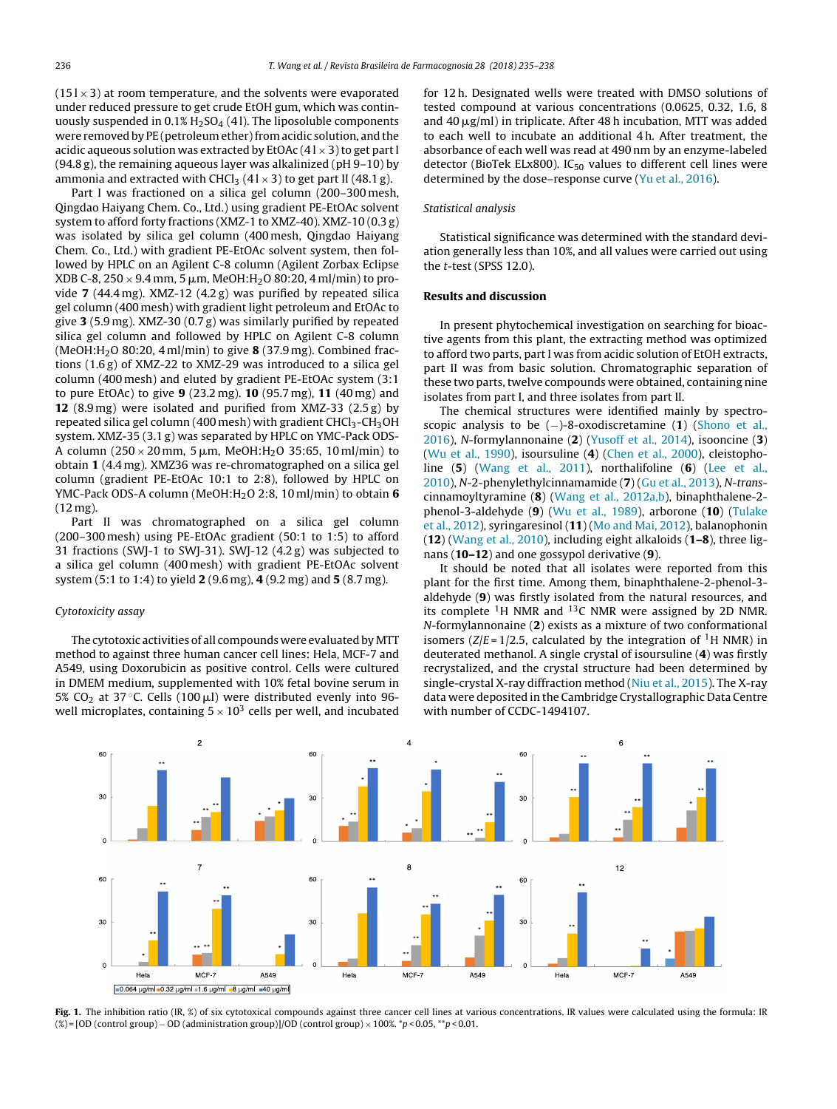<span id="page-1-0"></span> $(151 \times 3)$  at room temperature, and the solvents were evaporated under reduced pressure to get crude EtOH gum, which was continuously suspended in  $0.1\%$  H<sub>2</sub>SO<sub>4</sub> (41). The liposoluble components were removed by PE (petroleum ether) from acidic solution, and the acidic aqueous solution was extracted by EtOAc  $(41 \times 3)$  to get part I (94.8 g), the remaining aqueous layer was alkalinized (pH 9–10) by ammonia and extracted with CHCl<sub>3</sub> ( $41 \times 3$ ) to get part II ( $48.1 g$ ).

Part I was fractioned on a silica gel column (200–300 mesh, Qingdao Haiyang Chem. Co., Ltd.) using gradient PE-EtOAc solvent system to afford forty fractions (XMZ-1 to XMZ-40). XMZ-10 (0.3 g) was isolated by silica gel column (400 mesh, Qingdao Haiyang Chem. Co., Ltd.) with gradient PE-EtOAc solvent system, then followed by HPLC on an Agilent C-8 column (Agilent Zorbax Eclipse  $XDB C-8$ , 250  $\times$  9.4 mm, 5  $\mu$ m, MeOH:H<sub>2</sub>O 80:20, 4 ml/min) to provide **7** (44.4 mg). XMZ-12 (4.2 g) was purified by repeated silica gel column (400 mesh) with gradient light petroleum and EtOAc to give **3** (5.9 mg). XMZ-30 (0.7 g) was similarly purified by repeated silica gel column and followed by HPLC on Agilent C-8 column (MeOH:H2O 80:20, 4 ml/min) to give **8** (37.9 mg). Combined fractions (1.6 g) of XMZ-22 to XMZ-29 was introduced to a silica gel column (400 mesh) and eluted by gradient PE-EtOAc system (3:1 to pure EtOAc) to give **9** (23.2 mg). **10** (95.7 mg), **11** (40 mg) and **12** (8.9 mg) were isolated and purified from XMZ-33 (2.5 g) by repeated silica gel column (400 mesh) with gradient  $CHCl<sub>3</sub>-CH<sub>3</sub>OH$ system. XMZ-35 (3.1 g) was separated by HPLC on YMC-Pack ODS-A column (250  $\times$  20 mm, 5 µm, MeOH:H<sub>2</sub>O 35:65, 10 ml/min) to obtain **1** (4.4 mg). XMZ36 was re-chromatographed on a silica gel column (gradient PE-EtOAc 10:1 to 2:8), followed by HPLC on YMC-Pack ODS-A column (MeOH:H2O 2:8, 10 ml/min) to obtain **6** (12 mg).

Part II was chromatographed on a silica gel column (200–300 mesh) using PE-EtOAc gradient (50:1 to 1:5) to afford 31 fractions (SWJ-1 to SWJ-31). SWJ-12 (4.2 g) was subjected to a silica gel column (400 mesh) with gradient PE-EtOAc solvent system (5:1 to 1:4) to yield **2** (9.6 mg), **4** (9.2 mg) and **5** (8.7 mg).

## Cytotoxicity assay

The cytotoxic activities of all compounds were evaluated by MTT method to against three human cancer cell lines: Hela, MCF-7 and A549, using Doxorubicin as positive control. Cells were cultured in DMEM medium, supplemented with 10% fetal bovine serum in 5% CO $_2$  at 37 °C. Cells (100  $\mu$ l) were distributed evenly into 96well microplates, containing  $5 \times 10^3$  cells per well, and incubated

for 12 h. Designated wells were treated with DMSO solutions of tested compound at various concentrations (0.0625, 0.32, 1.6, 8 and 40 µg/ml) in triplicate. After 48 h incubation, MTT was added to each well to incubate an additional 4 h. After treatment, the absorbance of each well was read at 490 nm by an enzyme-labeled detector (BioTek ELx800).  $IC_{50}$  values to different cell lines were determined by the dose–response curve [\(Yu](#page-3-0) et [al.,](#page-3-0) [2016\).](#page-3-0)

#### Statistical analysis

Statistical significance was determined with the standard deviation generally less than 10%, and all values were carried out using the t-test (SPSS 12.0).

#### **Results and discussion**

In present phytochemical investigation on searching for bioactive agents from this plant, the extracting method was optimized to afford two parts, part I was from acidic solution of EtOH extracts, part II was from basic solution. Chromatographic separation of these two parts, twelve compounds were obtained, containing nine isolates from part I, and three isolates from part II.

The chemical structures were identified mainly by spectroscopic analysis to be (−)-8-oxodiscretamine (**1**) ([Shono](#page-3-0) et [al.,](#page-3-0) [2016\),](#page-3-0) N-formylannonaine (**2**) ([Yusoff](#page-3-0) et [al.,](#page-3-0) [2014\),](#page-3-0) isooncine (**3**) [\(Wu](#page-3-0) et [al.,](#page-3-0) [1990\),](#page-3-0) isoursuline (**4**) ([Chen](#page-3-0) et [al.,](#page-3-0) [2000\),](#page-3-0) cleistopholine (**5**) [\(Wang](#page-3-0) et [al.,](#page-3-0) [2011\),](#page-3-0) northalifoline (**6**) ([Lee](#page-3-0) et [al.,](#page-3-0) [2010\),](#page-3-0) N-2-phenylethylcinnamamide (**7**) ([Gu](#page-3-0) et [al.,](#page-3-0) [2013\),](#page-3-0) N-transcinnamoyltyramine (**8**) [\(Wang](#page-3-0) et [al.,](#page-3-0) [2012a,b\),](#page-3-0) binaphthalene-2 phenol-3-aldehyde (**9**) ([Wu](#page-3-0) et [al.,](#page-3-0) [1989\),](#page-3-0) arborone (**10**) ([Tulake](#page-3-0) et [al.,](#page-3-0) [2012\),](#page-3-0) syringaresinol (**11**) ([Mo](#page-3-0) [and](#page-3-0) [Mai,](#page-3-0) [2012\),](#page-3-0) balanophonin (**12**) ([Wang](#page-3-0) et [al.,](#page-3-0) [2010\),](#page-3-0) including eight alkaloids (**1–8**), three lignans (**10–12**) and one gossypol derivative (**9**).

It should be noted that all isolates were reported from this plant for the first time. Among them, binaphthalene-2-phenol-3 aldehyde (**9**) was firstly isolated from the natural resources, and its complete  ${}^{1}$ H NMR and  ${}^{13}$ C NMR were assigned by 2D NMR. N-formylannonaine (**2**) exists as a mixture of two conformational isomers ( $Z/E = 1/2.5$ , calculated by the integration of <sup>1</sup>H NMR) in deuterated methanol. A single crystal of isoursuline (**4**) was firstly recrystalized, and the crystal structure had been determined by single-crystal X-ray diffraction method [\(Niu](#page-3-0) et [al.,](#page-3-0) [2015\).](#page-3-0) The X-ray data were deposited in the Cambridge Crystallographic Data Centre with number of CCDC-1494107.



Fig. 1. The inhibition ratio (IR, %) of six cytotoxical compounds against three cancer cell lines at various concentrations. IR values were calculated using the formula: IR (%) = [OD (control group) – OD (administration group)]/OD (control group) × 100%. \*p < 0.05, \*\*p < 0.01.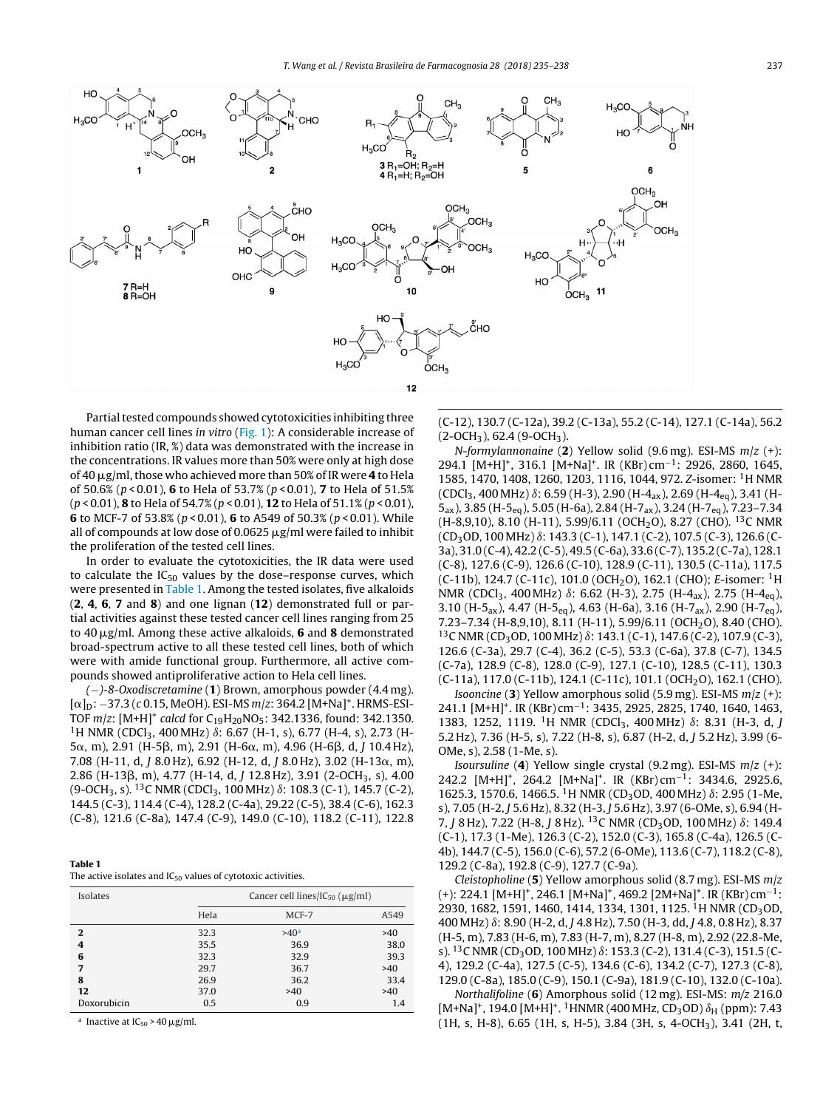

Partial tested compounds showed cytotoxicities inhibiting three human cancer cell lines in vitro ([Fig.](#page-1-0) 1): A considerable increase of inhibition ratio (IR, %) data was demonstrated with the increase in the concentrations. IR values more than 50% were only at high dose of 40  $\mu$ g/ml, those who achieved more than 50% of IR were **4** to Hela of 50.6% (p < 0.01), **6** to Hela of 53.7% (p < 0.01), **7** to Hela of 51.5% (p < 0.01), **8** to Hela of 54.7% (p < 0.01), **12** to Hela of 51.1% (p < 0.01), **6** to MCF-7 of 53.8% ( $p$  < 0.01), **6** to A549 of 50.3% ( $p$  < 0.01). While all of compounds at low dose of 0.0625  $\mu$ g/ml were failed to inhibit the proliferation of the tested cell lines.

In order to evaluate the cytotoxicities, the IR data were used to calculate the  $IC_{50}$  values by the dose–response curves, which were presented in Table 1. Among the tested isolates, five alkaloids (**2**, **4**, **6**, **7** and **8**) and one lignan (**12**) demonstrated full or partial activities against these tested cancer cell lines ranging from 25 to 40  $\mu$ g/ml. Among these active alkaloids, **6** and **8** demonstrated broad-spectrum active to all these tested cell lines, both of which were with amide functional group. Furthermore, all active compounds showed antiproliferative action to Hela cell lines.

(−)-8-Oxodiscretamine (**1**) Brown, amorphous powder (4.4 mg).  $[\alpha]_{D}$ : –37.3 (c 0.15, MeOH). ESI-MS m/z: 364.2 [M+Na]<sup>+</sup>. HRMS-ESI-TOF  $m/z$ : [M+H]<sup>+</sup> calcd for C<sub>19</sub>H<sub>20</sub>NO<sub>5</sub>: 342.1336, found: 342.1350. <sup>1</sup>H NMR (CDCl<sub>3</sub>, 400 MHz)  $\delta$ : 6.67 (H-1, s), 6.77 (H-4, s), 2.73 (H- $5\alpha$ , m), 2.91 (H-5 $\beta$ , m), 2.91 (H-6 $\alpha$ , m), 4.96 (H-6 $\beta$ , d, J 10.4 Hz), 7.08 (H-11, d, J 8.0 Hz), 6.92 (H-12, d, J 8.0 Hz), 3.02 (H-13 $\alpha$ , m), 2.86 (H-13β, m), 4.77 (H-14, d, J 12.8 Hz), 3.91 (2-OCH<sub>3</sub>, s), 4.00 (9-OCH<sub>3</sub>, s). <sup>13</sup>C NMR (CDCl<sub>3</sub>, 100 MHz)  $\delta$ : 108.3 (C-1), 145.7 (C-2), 144.5 (C-3), 114.4 (C-4), 128.2 (C-4a), 29.22 (C-5), 38.4 (C-6), 162.3 (C-8), 121.6 (C-8a), 147.4 (C-9), 149.0 (C-10), 118.2 (C-11), 122.8

| Table 1                                                           |  |  |
|-------------------------------------------------------------------|--|--|
| The active isolates and $IC_{50}$ values of cytotoxic activities. |  |  |

| Isolates     |      | Cancer cell lines/IC <sub>50</sub> ( $\mu$ g/ml) |      |  |
|--------------|------|--------------------------------------------------|------|--|
|              | Hela | MCF-7                                            | A549 |  |
| $\mathbf{2}$ | 32.3 | >40 <sup>a</sup>                                 | >40  |  |
| 4            | 35.5 | 36.9                                             | 38.0 |  |
| 6            | 32.3 | 32.9                                             | 39.3 |  |
| 7            | 29.7 | 36.7                                             | >40  |  |
| 8            | 26.9 | 36.2                                             | 33.4 |  |
| 12           | 37.0 | >40                                              | >40  |  |
| Doxorubicin  | 0.5  | 0.9                                              | 1.4  |  |

<sup>a</sup> Inactive at  $IC_{50}$  > 40  $\mu$ g/ml.

(C-12), 130.7 (C-12a), 39.2 (C-13a), 55.2 (C-14), 127.1 (C-14a), 56.2  $(2-OCH<sub>3</sub>), 62.4 (9-OCH<sub>3</sub>).$ 

N-formylannonaine (**2**) Yellow solid (9.6 mg). ESI-MS m/z (+): 294.1 [M+H]<sup>+</sup>, 316.1 [M+Na]<sup>+</sup>. IR (KBr) cm<sup>-1</sup>: 2926, 2860, 1645, 1585, 1470, 1408, 1260, 1203, 1116, 1044, 972. Z-isomer: 1H NMR  $(CDCl_3, 400 MHz)$   $\delta$ : 6.59 (H-3), 2.90 (H-4<sub>ax</sub>), 2.69 (H-4<sub>eq</sub>), 3.41 (H-5ax), 3.85 (H-5eq), 5.05 (H-6a), 2.84 (H-7ax), 3.24 (H-7eq), 7.23–7.34 (H-8,9,10), 8.10 (H-11), 5.99/6.11 (OCH<sub>2</sub>O), 8.27 (CHO). <sup>13</sup>C NMR  $(CD_3OD, 100 MHz)$   $\delta$ : 143.3 (C-1), 147.1 (C-2), 107.5 (C-3), 126.6 (C-3a), 31.0 (C-4), 42.2 (C-5), 49.5 (C-6a), 33.6 (C-7), 135.2 (C-7a), 128.1 (C-8), 127.6 (C-9), 126.6 (C-10), 128.9 (C-11), 130.5 (C-11a), 117.5 (C-11b), 124.7 (C-11c), 101.0 (OCH<sub>2</sub>O), 162.1 (CHO); E-isomer: <sup>1</sup>H NMR (CDCl<sub>3</sub>, 400 MHz)  $\delta$ : 6.62 (H-3), 2.75 (H-4<sub>ax</sub>), 2.75 (H-4<sub>eq</sub>), 3.10 (H-5ax), 4.47 (H-5eq), 4.63 (H-6a), 3.16 (H-7ax), 2.90 (H-7eq), 7.23-7.34 (H-8,9,10), 8.11 (H-11), 5.99/6.11 (OCH<sub>2</sub>O), 8.40 (CHO).  $13$ C NMR (CD<sub>3</sub>OD, 100 MHz)  $\delta$ : 143.1 (C-1), 147.6 (C-2), 107.9 (C-3), 126.6 (C-3a), 29.7 (C-4), 36.2 (C-5), 53.3 (C-6a), 37.8 (C-7), 134.5 (C-7a), 128.9 (C-8), 128.0 (C-9), 127.1 (C-10), 128.5 (C-11), 130.3 (C-11a), 117.0 (C-11b), 124.1 (C-11c), 101.1 (OCH<sub>2</sub>O), 162.1 (CHO).

Isooncine (**3**) Yellow amorphous solid (5.9 mg). ESI-MS m/z (+): 241.1 [M+H]+. IR (KBr) cm−1: 3435, 2925, 2825, 1740, 1640, 1463, 1383, 1252, 1119. <sup>1</sup>H NMR (CDCl<sub>3</sub>, 400 MHz)  $\delta$ : 8.31 (H-3, d, J 5.2 Hz), 7.36 (H-5, s), 7.22 (H-8, s), 6.87 (H-2, d, J 5.2 Hz), 3.99 (6- OMe, s), 2.58 (1-Me, s).

Isoursuline (**4**) Yellow single crystal (9.2 mg). ESI-MS m/z (+): 242.2 [M+H]<sup>+</sup>, 264.2 [M+Na]<sup>+</sup>. IR (KBr) cm<sup>-1</sup>: 3434.6, 2925.6, 1625.3, 1570.6, 1466.5. <sup>1</sup>H NMR (CD<sub>3</sub>OD, 400 MHz)  $\delta$ : 2.95 (1-Me, s), 7.05 (H-2, J 5.6 Hz), 8.32 (H-3, J 5.6 Hz), 3.97 (6-OMe, s), 6.94 (H-7, J 8 Hz), 7.22 (H-8, J 8 Hz). <sup>13</sup>C NMR (CD<sub>3</sub>OD, 100 MHz)  $\delta$ : 149.4 (C-1), 17.3 (1-Me), 126.3 (C-2), 152.0 (C-3), 165.8 (C-4a), 126.5 (C-4b), 144.7 (C-5), 156.0 (C-6), 57.2 (6-OMe), 113.6 (C-7), 118.2 (C-8), 129.2 (C-8a), 192.8 (C-9), 127.7 (C-9a).

Cleistopholine (**5**) Yellow amorphous solid (8.7 mg). ESI-MS m/z (+): 224.1  $[M+H]^+$ , 246.1  $[M+Na]^+$ , 469.2  $[2M+Na]^+$ . IR (KBr) cm<sup>-1</sup>: 2930, 1682, 1591, 1460, 1414, 1334, 1301, 1125. <sup>1</sup>H NMR (CD<sub>3</sub>OD, 400 MHz) ı: 8.90 (H-2, d, J 4.8 Hz), 7.50 (H-3, dd, J 4.8, 0.8 Hz), 8.37 (H-5, m), 7.83 (H-6, m), 7.83 (H-7, m), 8.27 (H-8, m), 2.92 (22.8-Me, s). <sup>13</sup>C NMR (CD<sub>3</sub>OD, 100 MHz)  $\delta$ : 153.3 (C-2), 131.4 (C-3), 151.5 (C-4), 129.2 (C-4a), 127.5 (C-5), 134.6 (C-6), 134.2 (C-7), 127.3 (C-8), 129.0 (C-8a), 185.0 (C-9), 150.1 (C-9a), 181.9 (C-10), 132.0 (C-10a).

Northalifoline (**6**) Amorphous solid (12 mg). ESI-MS: m/z 216.0 [M+Na]<sup>+</sup>, 194.0 [M+H]<sup>+</sup>. <sup>1</sup>HNMR (400 MHz, CD<sub>3</sub>OD)  $\delta$ <sub>H</sub> (ppm): 7.43  $(1H, s, H-8)$ , 6.65  $(1H, s, H-5)$ , 3.84  $(3H, s, 4-OCH<sub>3</sub>)$ , 3.41  $(2H, t,$